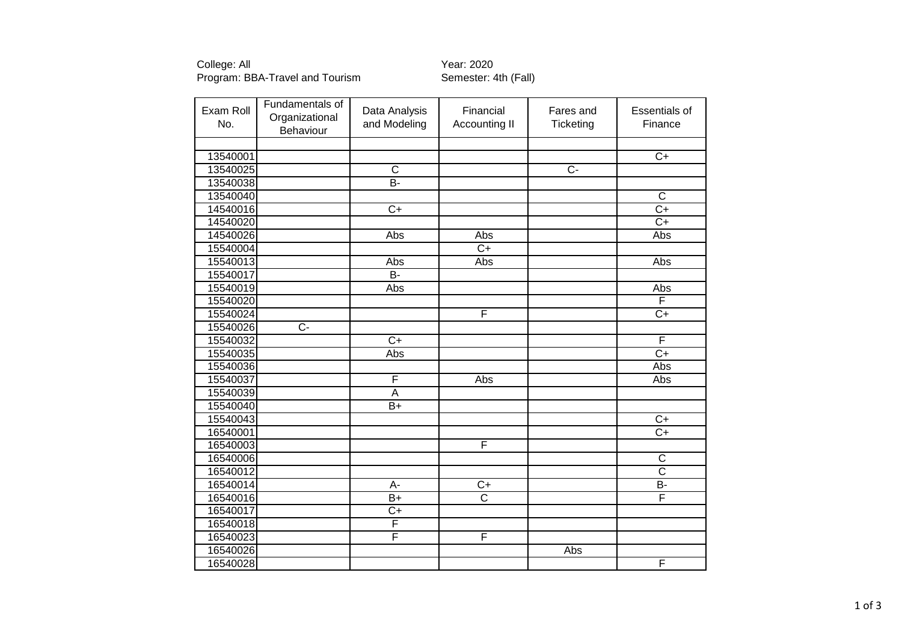College: All Year: 2020 Program: BBA-Travel and Tourism Semester: 4th (Fall)

| Exam Roll<br>No. | Fundamentals of<br>Organizational<br>Behaviour | Data Analysis<br>and Modeling | Financial<br>Accounting II | Fares and<br>Ticketing | <b>Essentials of</b><br>Finance |
|------------------|------------------------------------------------|-------------------------------|----------------------------|------------------------|---------------------------------|
|                  |                                                |                               |                            |                        |                                 |
| 13540001         |                                                |                               |                            |                        | $\overline{C}$                  |
| 13540025         |                                                | $\overline{\mathsf{C}}$       |                            | $\overline{C}$         |                                 |
| 13540038         |                                                | B-                            |                            |                        |                                 |
| 13540040         |                                                |                               |                            |                        | $\overline{C}$                  |
| 14540016         |                                                | $\overline{C+}$               |                            |                        | $\overline{C+}$                 |
| 14540020         |                                                |                               |                            |                        | $\overline{C+}$                 |
| 14540026         |                                                | Abs                           | Abs                        |                        | Abs                             |
| 15540004         |                                                |                               | $\overline{C+}$            |                        |                                 |
| 15540013         |                                                | Abs                           | Abs                        |                        | Abs                             |
| 15540017         |                                                | <b>B-</b>                     |                            |                        |                                 |
| 15540019         |                                                | Abs                           |                            |                        | Abs                             |
| 15540020         |                                                |                               |                            |                        | F                               |
| 15540024         |                                                |                               | F                          |                        | $C+$                            |
| 15540026         | $\overline{C}$                                 |                               |                            |                        |                                 |
| 15540032         |                                                | $\overline{C}$                |                            |                        | F                               |
| 15540035         |                                                | Abs                           |                            |                        | $\overline{C+}$                 |
| 15540036         |                                                |                               |                            |                        | Abs                             |
| 15540037         |                                                | F                             | Abs                        |                        | Abs                             |
| 15540039         |                                                | $\overline{A}$                |                            |                        |                                 |
| 15540040         |                                                | $\overline{B+}$               |                            |                        |                                 |
| 15540043         |                                                |                               |                            |                        | $\overline{C+}$                 |
| 16540001         |                                                |                               |                            |                        | $\overline{C+}$                 |
| 16540003         |                                                |                               | F                          |                        |                                 |
| 16540006         |                                                |                               |                            |                        | $\overline{C}$                  |
| 16540012         |                                                |                               |                            |                        | $\overline{\text{c}}$           |
| 16540014         |                                                | $\overline{A}$ -              | $\overline{C+}$            |                        | $B -$                           |
| 16540016         |                                                | $B+$                          | $\overline{\text{c}}$      |                        | F                               |
| 16540017         |                                                | $C+$                          |                            |                        |                                 |
| 16540018         |                                                | F                             |                            |                        |                                 |
| 16540023         |                                                | F                             | F                          |                        |                                 |
| 16540026         |                                                |                               |                            | Abs                    |                                 |
| 16540028         |                                                |                               |                            |                        | F                               |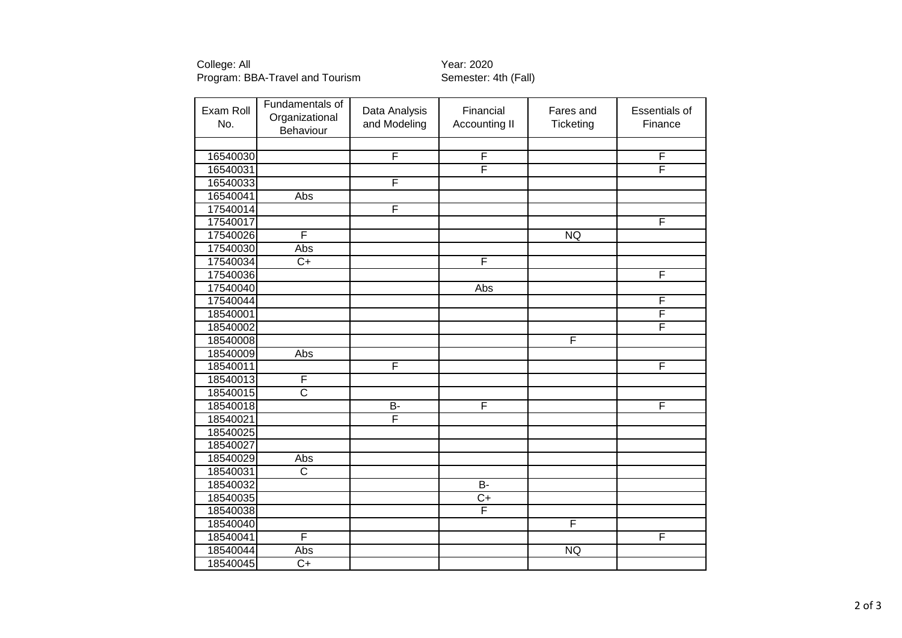College: All Year: 2020

## Program: BBA-Travel and Tourism Semester: 4th (Fall)

| Exam Roll<br>No. | Fundamentals of<br>Organizational<br>Behaviour | Data Analysis<br>and Modeling | Financial<br><b>Accounting II</b> | Fares and<br>Ticketing | <b>Essentials of</b><br>Finance |
|------------------|------------------------------------------------|-------------------------------|-----------------------------------|------------------------|---------------------------------|
|                  |                                                |                               |                                   |                        |                                 |
| 16540030         |                                                | F                             | F                                 |                        | F                               |
| 16540031         |                                                |                               | F                                 |                        | F                               |
| 16540033         |                                                | F                             |                                   |                        |                                 |
| 16540041         | Abs                                            |                               |                                   |                        |                                 |
| 17540014         |                                                | F                             |                                   |                        |                                 |
| 17540017         |                                                |                               |                                   |                        | F                               |
| 17540026         | F                                              |                               |                                   | <b>NQ</b>              |                                 |
| 17540030         | Abs                                            |                               |                                   |                        |                                 |
| 17540034         | $\overline{C}$ +                               |                               | F                                 |                        |                                 |
| 17540036         |                                                |                               |                                   |                        | $\overline{\mathsf{F}}$         |
| 17540040         |                                                |                               | Abs                               |                        |                                 |
| 17540044         |                                                |                               |                                   |                        | F                               |
| 18540001         |                                                |                               |                                   |                        | F                               |
| 18540002         |                                                |                               |                                   |                        | F                               |
| 18540008         |                                                |                               |                                   | F                      |                                 |
| 18540009         | Abs                                            |                               |                                   |                        |                                 |
| 18540011         |                                                | F                             |                                   |                        | F                               |
| 18540013         | F                                              |                               |                                   |                        |                                 |
| 18540015         | $\overline{\text{C}}$                          |                               |                                   |                        |                                 |
| 18540018         |                                                | $B-$                          | F                                 |                        | F                               |
| 18540021         |                                                | F                             |                                   |                        |                                 |
| 18540025         |                                                |                               |                                   |                        |                                 |
| 18540027         |                                                |                               |                                   |                        |                                 |
| 18540029         | Abs                                            |                               |                                   |                        |                                 |
| 18540031         | $\overline{\text{c}}$                          |                               |                                   |                        |                                 |
| 18540032         |                                                |                               | $\overline{B}$                    |                        |                                 |
| 18540035         |                                                |                               | $\overline{C+}$                   |                        |                                 |
| 18540038         |                                                |                               | F                                 |                        |                                 |
| 18540040         |                                                |                               |                                   | F                      |                                 |
| 18540041         | F                                              |                               |                                   |                        | F                               |
| 18540044         | Abs                                            |                               |                                   | <b>NQ</b>              |                                 |
| 18540045         | $\overline{C}$                                 |                               |                                   |                        |                                 |